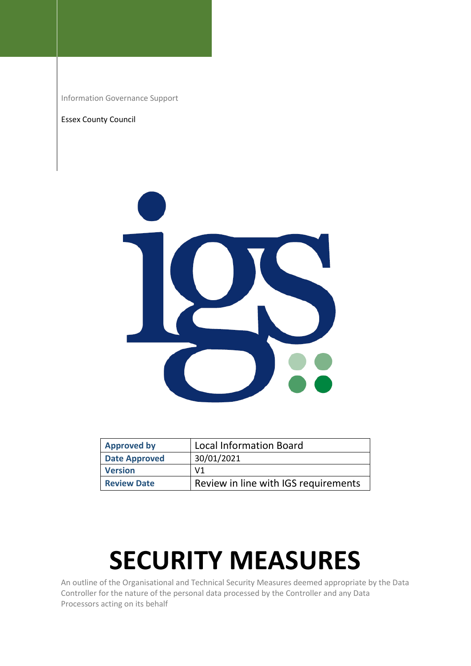Information Governance Support

## Essex County Council



| <b>Approved by</b>   | <b>Local Information Board</b>       |
|----------------------|--------------------------------------|
| <b>Date Approved</b> | 30/01/2021                           |
| <b>Version</b>       | V <sub>1</sub>                       |
| <b>Review Date</b>   | Review in line with IGS requirements |

## **SECURITY MEASURES**

An outline of the Organisational and Technical Security Measures deemed appropriate by the Data Controller for the nature of the personal data processed by the Controller and any Data Processors acting on its behalf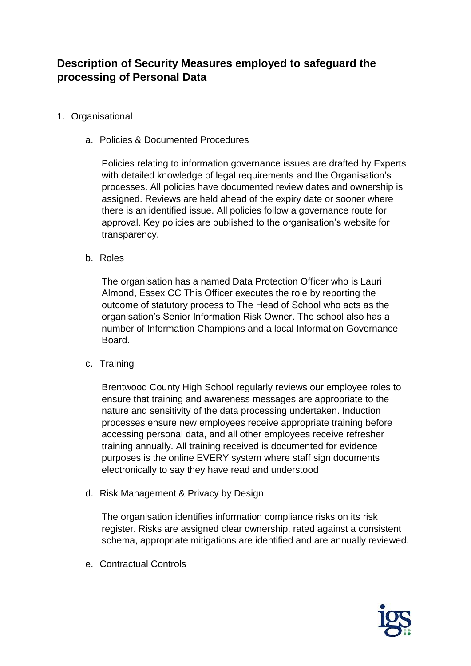## **Description of Security Measures employed to safeguard the processing of Personal Data**

- 1. Organisational
	- a. Policies & Documented Procedures

Policies relating to information governance issues are drafted by Experts with detailed knowledge of legal requirements and the Organisation's processes. All policies have documented review dates and ownership is assigned. Reviews are held ahead of the expiry date or sooner where there is an identified issue. All policies follow a governance route for approval. Key policies are published to the organisation's website for transparency.

b. Roles

The organisation has a named Data Protection Officer who is Lauri Almond, Essex CC This Officer executes the role by reporting the outcome of statutory process to The Head of School who acts as the organisation's Senior Information Risk Owner. The school also has a number of Information Champions and a local Information Governance Board.

c. Training

Brentwood County High School regularly reviews our employee roles to ensure that training and awareness messages are appropriate to the nature and sensitivity of the data processing undertaken. Induction processes ensure new employees receive appropriate training before accessing personal data, and all other employees receive refresher training annually. All training received is documented for evidence purposes is the online EVERY system where staff sign documents electronically to say they have read and understood

d. Risk Management & Privacy by Design

The organisation identifies information compliance risks on its risk register. Risks are assigned clear ownership, rated against a consistent schema, appropriate mitigations are identified and are annually reviewed.

e. Contractual Controls

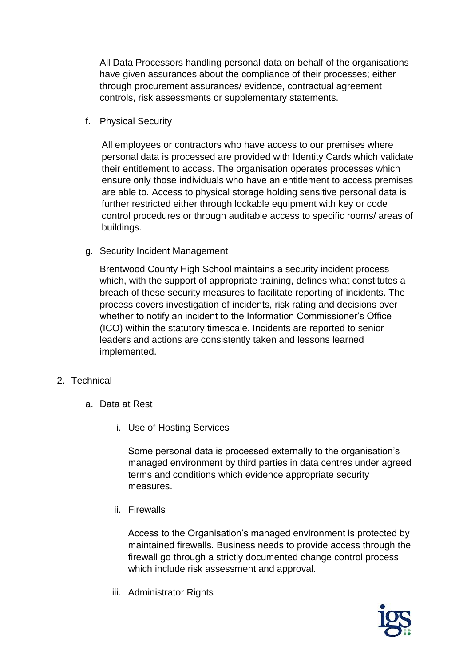All Data Processors handling personal data on behalf of the organisations have given assurances about the compliance of their processes; either through procurement assurances/ evidence, contractual agreement controls, risk assessments or supplementary statements.

f. Physical Security

All employees or contractors who have access to our premises where personal data is processed are provided with Identity Cards which validate their entitlement to access. The organisation operates processes which ensure only those individuals who have an entitlement to access premises are able to. Access to physical storage holding sensitive personal data is further restricted either through lockable equipment with key or code control procedures or through auditable access to specific rooms/ areas of buildings.

g. Security Incident Management

Brentwood County High School maintains a security incident process which, with the support of appropriate training, defines what constitutes a breach of these security measures to facilitate reporting of incidents. The process covers investigation of incidents, risk rating and decisions over whether to notify an incident to the Information Commissioner's Office (ICO) within the statutory timescale. Incidents are reported to senior leaders and actions are consistently taken and lessons learned implemented.

- 2. Technical
	- a. Data at Rest
		- i. Use of Hosting Services

Some personal data is processed externally to the organisation's managed environment by third parties in data centres under agreed terms and conditions which evidence appropriate security measures.

ii. Firewalls

Access to the Organisation's managed environment is protected by maintained firewalls. Business needs to provide access through the firewall go through a strictly documented change control process which include risk assessment and approval.

iii. Administrator Rights

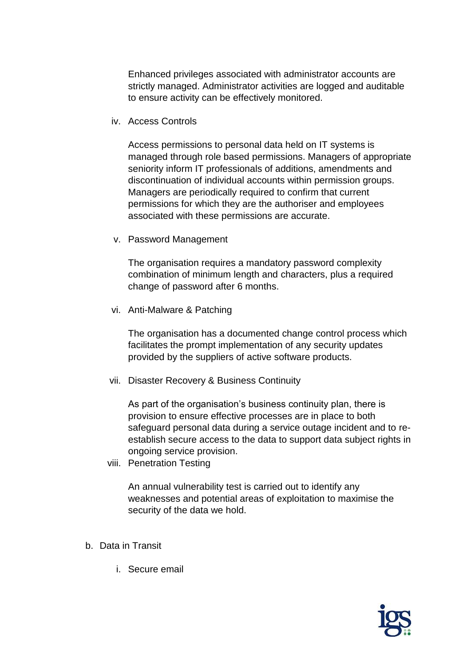Enhanced privileges associated with administrator accounts are strictly managed. Administrator activities are logged and auditable to ensure activity can be effectively monitored.

iv. Access Controls

Access permissions to personal data held on IT systems is managed through role based permissions. Managers of appropriate seniority inform IT professionals of additions, amendments and discontinuation of individual accounts within permission groups. Managers are periodically required to confirm that current permissions for which they are the authoriser and employees associated with these permissions are accurate.

v. Password Management

The organisation requires a mandatory password complexity combination of minimum length and characters, plus a required change of password after 6 months.

vi. Anti-Malware & Patching

The organisation has a documented change control process which facilitates the prompt implementation of any security updates provided by the suppliers of active software products.

vii. Disaster Recovery & Business Continuity

As part of the organisation's business continuity plan, there is provision to ensure effective processes are in place to both safeguard personal data during a service outage incident and to reestablish secure access to the data to support data subject rights in ongoing service provision.

viii. Penetration Testing

An annual vulnerability test is carried out to identify any weaknesses and potential areas of exploitation to maximise the security of the data we hold.

- b. Data in Transit
	- i. Secure email